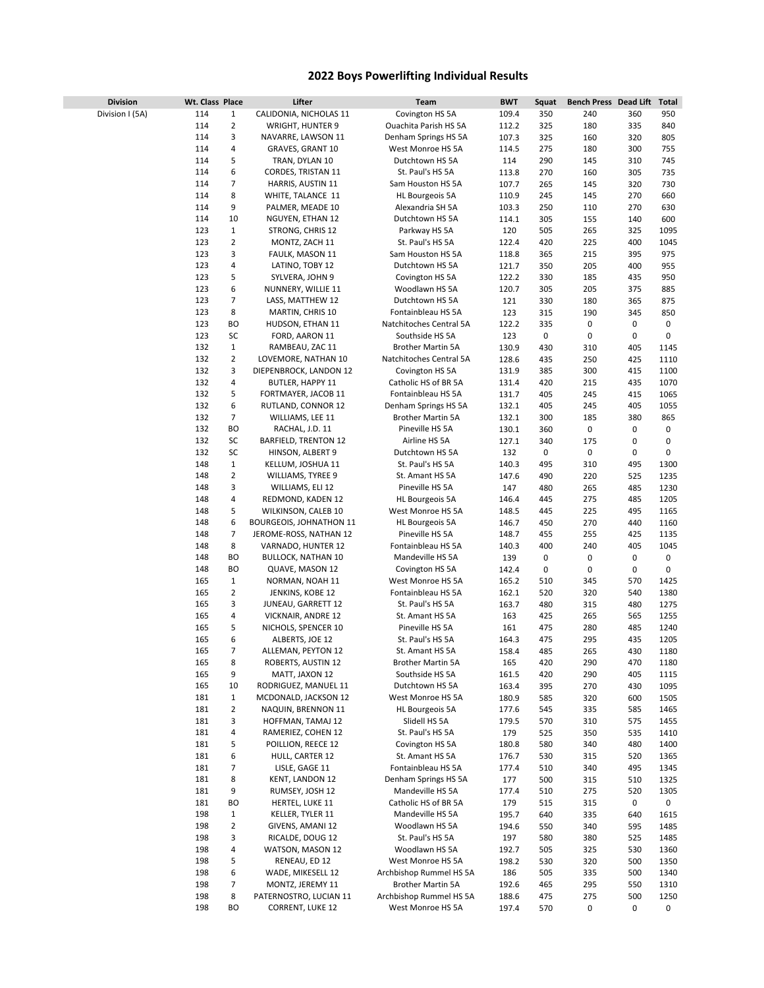## **2022 Boys Powerlifting Individual Results**

| <b>Division</b> | Wt. Class Place |                | Lifter                         | <b>Team</b>              | <b>BWT</b> | Squat | Bench Press Dead Lift |     | Total |
|-----------------|-----------------|----------------|--------------------------------|--------------------------|------------|-------|-----------------------|-----|-------|
| Division I (5A) | 114             | 1              | CALIDONIA, NICHOLAS 11         | Covington HS 5A          | 109.4      | 350   | 240                   | 360 | 950   |
|                 | 114             | 2              | WRIGHT, HUNTER 9               | Ouachita Parish HS 5A    | 112.2      | 325   | 180                   | 335 | 840   |
|                 | 114             | 3              | NAVARRE, LAWSON 11             | Denham Springs HS 5A     | 107.3      | 325   | 160                   | 320 | 805   |
|                 | 114             | 4              | GRAVES, GRANT 10               | West Monroe HS 5A        | 114.5      | 275   | 180                   | 300 | 755   |
|                 |                 |                |                                |                          |            |       |                       |     |       |
|                 | 114             | 5              | TRAN, DYLAN 10                 | Dutchtown HS 5A          | 114        | 290   | 145                   | 310 | 745   |
|                 | 114             | 6              | CORDES, TRISTAN 11             | St. Paul's HS 5A         | 113.8      | 270   | 160                   | 305 | 735   |
|                 | 114             | 7              | HARRIS, AUSTIN 11              | Sam Houston HS 5A        | 107.7      | 265   | 145                   | 320 | 730   |
|                 | 114             | 8              | WHITE, TALANCE 11              | HL Bourgeois 5A          | 110.9      | 245   | 145                   | 270 | 660   |
|                 | 114             | 9              | PALMER, MEADE 10               | Alexandria SH 5A         | 103.3      | 250   | 110                   | 270 | 630   |
|                 |                 |                |                                |                          |            |       |                       |     |       |
|                 | 114             | 10             | NGUYEN, ETHAN 12               | Dutchtown HS 5A          | 114.1      | 305   | 155                   | 140 | 600   |
|                 | 123             | 1              | STRONG, CHRIS 12               | Parkway HS 5A            | 120        | 505   | 265                   | 325 | 1095  |
|                 | 123             | 2              | MONTZ, ZACH 11                 | St. Paul's HS 5A         | 122.4      | 420   | 225                   | 400 | 1045  |
|                 | 123             | 3              | FAULK, MASON 11                | Sam Houston HS 5A        | 118.8      | 365   | 215                   | 395 | 975   |
|                 | 123             | 4              | LATINO, TOBY 12                | Dutchtown HS 5A          |            | 350   |                       | 400 | 955   |
|                 |                 |                |                                |                          | 121.7      |       | 205                   |     |       |
|                 | 123             | 5              | SYLVERA, JOHN 9                | Covington HS 5A          | 122.2      | 330   | 185                   | 435 | 950   |
|                 | 123             | 6              | NUNNERY, WILLIE 11             | Woodlawn HS 5A           | 120.7      | 305   | 205                   | 375 | 885   |
|                 | 123             | 7              | LASS, MATTHEW 12               | Dutchtown HS 5A          | 121        | 330   | 180                   | 365 | 875   |
|                 | 123             | 8              | MARTIN, CHRIS 10               | Fontainbleau HS 5A       | 123        | 315   | 190                   | 345 | 850   |
|                 | 123             | ВO             |                                | Natchitoches Central 5A  |            | 335   | 0                     | 0   | 0     |
|                 |                 |                | HUDSON, ETHAN 11               |                          | 122.2      |       |                       |     |       |
|                 | 123             | SC             | FORD, AARON 11                 | Southside HS 5A          | 123        | 0     | 0                     | 0   | 0     |
|                 | 132             | $\mathbf{1}$   | RAMBEAU, ZAC 11                | <b>Brother Martin 5A</b> | 130.9      | 430   | 310                   | 405 | 1145  |
|                 | 132             | 2              | LOVEMORE, NATHAN 10            | Natchitoches Central 5A  | 128.6      | 435   | 250                   | 425 | 1110  |
|                 | 132             | 3              | DIEPENBROCK, LANDON 12         | Covington HS 5A          | 131.9      | 385   | 300                   | 415 | 1100  |
|                 |                 |                |                                |                          |            |       |                       |     |       |
|                 | 132             | 4              | BUTLER, HAPPY 11               | Catholic HS of BR 5A     | 131.4      | 420   | 215                   | 435 | 1070  |
|                 | 132             | 5              | FORTMAYER, JACOB 11            | Fontainbleau HS 5A       | 131.7      | 405   | 245                   | 415 | 1065  |
|                 | 132             | 6              | RUTLAND, CONNOR 12             | Denham Springs HS 5A     | 132.1      | 405   | 245                   | 405 | 1055  |
|                 | 132             | 7              | WILLIAMS, LEE 11               | <b>Brother Martin 5A</b> | 132.1      | 300   | 185                   | 380 | 865   |
|                 | 132             | ВO             | RACHAL, J.D. 11                | Pineville HS 5A          | 130.1      | 360   | 0                     | 0   | 0     |
|                 |                 |                |                                |                          |            |       |                       |     |       |
|                 | 132             | SC             | BARFIELD, TRENTON 12           | Airline HS 5A            | 127.1      | 340   | 175                   | 0   | 0     |
|                 | 132             | SC             | HINSON, ALBERT 9               | Dutchtown HS 5A          | 132        | 0     | $\pmb{0}$             | 0   | 0     |
|                 | 148             | $\mathbf{1}$   | KELLUM, JOSHUA 11              | St. Paul's HS 5A         | 140.3      | 495   | 310                   | 495 | 1300  |
|                 | 148             | 2              | WILLIAMS, TYREE 9              | St. Amant HS 5A          | 147.6      | 490   | 220                   | 525 | 1235  |
|                 | 148             | 3              | WILLIAMS, ELI 12               | Pineville HS 5A          | 147        | 480   | 265                   | 485 | 1230  |
|                 |                 |                |                                |                          |            |       |                       |     |       |
|                 | 148             | 4              | REDMOND, KADEN 12              | HL Bourgeois 5A          | 146.4      | 445   | 275                   | 485 | 1205  |
|                 | 148             | 5              | WILKINSON, CALEB 10            | West Monroe HS 5A        | 148.5      | 445   | 225                   | 495 | 1165  |
|                 | 148             | 6              | <b>BOURGEOIS, JOHNATHON 11</b> | HL Bourgeois 5A          | 146.7      | 450   | 270                   | 440 | 1160  |
|                 | 148             | 7              | JEROME-ROSS, NATHAN 12         | Pineville HS 5A          | 148.7      | 455   | 255                   | 425 | 1135  |
|                 | 148             | 8              |                                | Fontainbleau HS 5A       |            |       |                       |     |       |
|                 |                 |                | VARNADO, HUNTER 12             |                          | 140.3      | 400   | 240                   | 405 | 1045  |
|                 | 148             | BO             | <b>BULLOCK, NATHAN 10</b>      | Mandeville HS 5A         | 139        | 0     | 0                     | 0   | 0     |
|                 | 148             | BО             | QUAVE, MASON 12                | Covington HS 5A          | 142.4      | 0     | 0                     | 0   | 0     |
|                 | 165             | 1              | NORMAN, NOAH 11                | West Monroe HS 5A        | 165.2      | 510   | 345                   | 570 | 1425  |
|                 | 165             | 2              | JENKINS, KOBE 12               | Fontainbleau HS 5A       | 162.1      | 520   | 320                   | 540 | 1380  |
|                 |                 |                |                                |                          |            |       |                       |     |       |
|                 | 165             | 3              | JUNEAU, GARRETT 12             | St. Paul's HS 5A         | 163.7      | 480   | 315                   | 480 | 1275  |
|                 | 165             | 4              | VICKNAIR, ANDRE 12             | St. Amant HS 5A          | 163        | 425   | 265                   | 565 | 1255  |
|                 | 165             | 5              | NICHOLS, SPENCER 10            | Pineville HS 5A          | 161        | 475   | 280                   | 485 | 1240  |
|                 | 165             | 6              | ALBERTS, JOE 12                | St. Paul's HS 5A         | 164.3      | 475   | 295                   | 435 | 1205  |
|                 | 165             | 7              | ALLEMAN, PEYTON 12             | St. Amant HS 5A          | 158.4      | 485   | 265                   | 430 | 1180  |
|                 |                 |                |                                |                          |            |       |                       |     |       |
|                 | 165             | 8              | ROBERTS, AUSTIN 12             | Brother Martin 5A        | 165        | 420   | 290                   | 470 | 1180  |
|                 | 165             | 9              | MATT, JAXON 12                 | Southside HS 5A          | 161.5      | 420   | 290                   | 405 | 1115  |
|                 | 165             | 10             | RODRIGUEZ, MANUEL 11           | Dutchtown HS 5A          | 163.4      | 395   | 270                   | 430 | 1095  |
|                 | 181             | 1              | MCDONALD, JACKSON 12           | West Monroe HS 5A        | 180.9      | 585   | 320                   | 600 | 1505  |
|                 | 181             | $\overline{2}$ | NAQUIN, BRENNON 11             | <b>HL Bourgeois 5A</b>   | 177.6      | 545   | 335                   | 585 | 1465  |
|                 |                 |                |                                |                          |            |       |                       |     |       |
|                 | 181             | 3              | HOFFMAN, TAMAJ 12              | Slidell HS 5A            | 179.5      | 570   | 310                   | 575 | 1455  |
|                 | 181             | 4              | RAMERIEZ, COHEN 12             | St. Paul's HS 5A         | 179        | 525   | 350                   | 535 | 1410  |
|                 | 181             | 5              | POILLION, REECE 12             | Covington HS 5A          | 180.8      | 580   | 340                   | 480 | 1400  |
|                 | 181             | 6              | HULL, CARTER 12                | St. Amant HS 5A          | 176.7      | 530   | 315                   | 520 | 1365  |
|                 | 181             | 7              | LISLE, GAGE 11                 | Fontainbleau HS 5A       | 177.4      | 510   | 340                   | 495 | 1345  |
|                 |                 |                |                                |                          |            |       |                       |     |       |
|                 | 181             | 8              | KENT, LANDON 12                | Denham Springs HS 5A     | 177        | 500   | 315                   | 510 | 1325  |
|                 | 181             | 9              | RUMSEY, JOSH 12                | Mandeville HS 5A         | 177.4      | 510   | 275                   | 520 | 1305  |
|                 | 181             | ВO             | HERTEL, LUKE 11                | Catholic HS of BR 5A     | 179        | 515   | 315                   | 0   | 0     |
|                 | 198             | 1              | KELLER, TYLER 11               | Mandeville HS 5A         | 195.7      | 640   | 335                   | 640 | 1615  |
|                 | 198             | $\overline{2}$ |                                | Woodlawn HS 5A           |            |       |                       |     |       |
|                 |                 |                | GIVENS, AMANI 12               |                          | 194.6      | 550   | 340                   | 595 | 1485  |
|                 | 198             | 3              | RICALDE, DOUG 12               | St. Paul's HS 5A         | 197        | 580   | 380                   | 525 | 1485  |
|                 | 198             | 4              | WATSON, MASON 12               | Woodlawn HS 5A           | 192.7      | 505   | 325                   | 530 | 1360  |
|                 | 198             | 5              | RENEAU, ED 12                  | West Monroe HS 5A        | 198.2      | 530   | 320                   | 500 | 1350  |
|                 | 198             | 6              | WADE, MIKESELL 12              | Archbishop Rummel HS 5A  | 186        | 505   | 335                   | 500 | 1340  |
|                 |                 | 7              |                                | Brother Martin 5A        |            |       |                       |     |       |
|                 | 198             |                | MONTZ, JEREMY 11               |                          | 192.6      | 465   | 295                   | 550 | 1310  |
|                 | 198             | 8              | PATERNOSTRO, LUCIAN 11         | Archbishop Rummel HS 5A  | 188.6      | 475   | 275                   | 500 | 1250  |
|                 | 198             | ВO             | CORRENT, LUKE 12               | West Monroe HS 5A        | 197.4      | 570   | 0                     | 0   | 0     |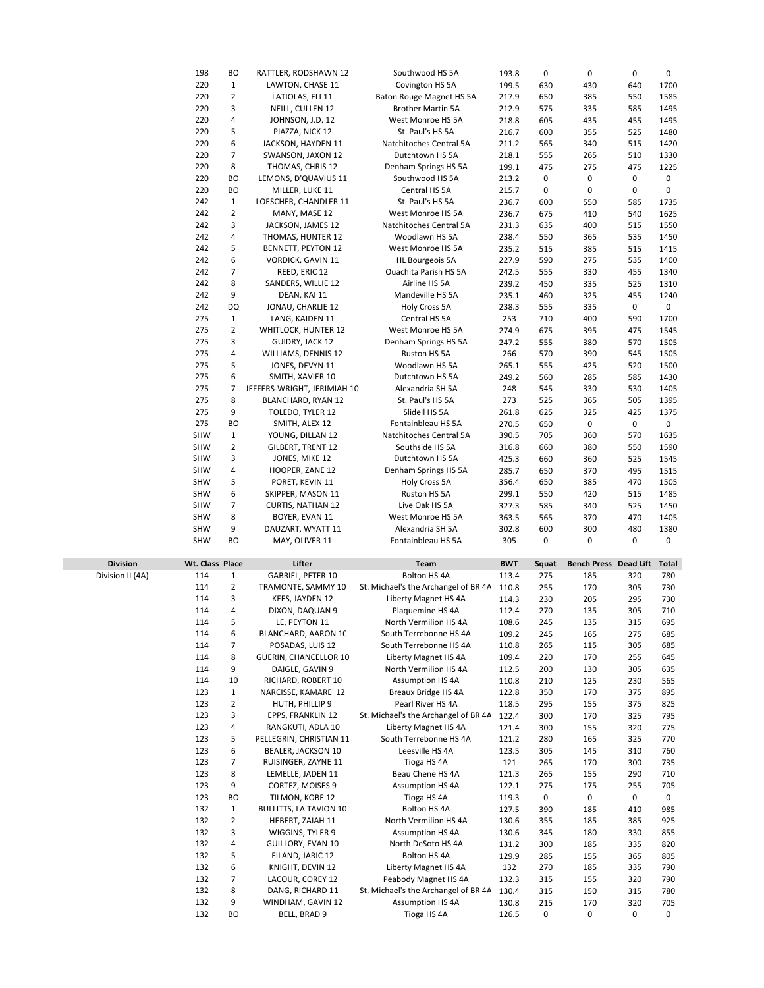|                  | 198             | BO             | RATTLER, RODSHAWN 12          | Southwood HS 5A                            |            | 0     | 0                     | $\pmb{0}$ | $\mathbf 0$  |
|------------------|-----------------|----------------|-------------------------------|--------------------------------------------|------------|-------|-----------------------|-----------|--------------|
|                  |                 |                |                               |                                            | 193.8      |       |                       |           |              |
|                  | 220             | $\mathbf{1}$   | LAWTON, CHASE 11              | Covington HS 5A                            | 199.5      | 630   | 430                   | 640       | 1700         |
|                  | 220             | $\overline{2}$ | LATIOLAS, ELI 11              | Baton Rouge Magnet HS 5A                   | 217.9      | 650   | 385                   | 550       | 1585         |
|                  | 220             | 3              | NEILL, CULLEN 12              | <b>Brother Martin 5A</b>                   | 212.9      | 575   | 335                   | 585       | 1495         |
|                  | 220             | 4              | JOHNSON, J.D. 12              | West Monroe HS 5A                          | 218.8      | 605   | 435                   | 455       | 1495         |
|                  | 220             | 5              | PIAZZA, NICK 12               | St. Paul's HS 5A                           | 216.7      | 600   | 355                   | 525       | 1480         |
|                  | 220             | 6              | JACKSON, HAYDEN 11            | Natchitoches Central 5A                    | 211.2      | 565   | 340                   | 515       | 1420         |
|                  |                 |                |                               |                                            |            |       |                       |           |              |
|                  | 220             | 7              | SWANSON, JAXON 12             | Dutchtown HS 5A                            | 218.1      | 555   | 265                   | 510       | 1330         |
|                  | 220             | 8              | THOMAS, CHRIS 12              | Denham Springs HS 5A                       | 199.1      | 475   | 275                   | 475       | 1225         |
|                  | 220             | BО             | LEMONS, D'QUAVIUS 11          | Southwood HS 5A                            | 213.2      | 0     | 0                     | 0         | 0            |
|                  | 220             | BО             | MILLER, LUKE 11               | Central HS 5A                              | 215.7      | 0     | 0                     | 0         | $\mathbf 0$  |
|                  | 242             | $\mathbf{1}$   | LOESCHER, CHANDLER 11         | St. Paul's HS 5A                           | 236.7      | 600   | 550                   | 585       | 1735         |
|                  | 242             | $\overline{2}$ | MANY, MASE 12                 | West Monroe HS 5A                          | 236.7      | 675   | 410                   | 540       | 1625         |
|                  |                 |                |                               |                                            |            |       |                       |           |              |
|                  | 242             | 3              | JACKSON, JAMES 12             | Natchitoches Central 5A                    | 231.3      | 635   | 400                   | 515       | 1550         |
|                  | 242             | 4              | THOMAS, HUNTER 12             | Woodlawn HS 5A                             | 238.4      | 550   | 365                   | 535       | 1450         |
|                  | 242             | 5              | BENNETT, PEYTON 12            | West Monroe HS 5A                          | 235.2      | 515   | 385                   | 515       | 1415         |
|                  | 242             | 6              | VORDICK, GAVIN 11             | <b>HL Bourgeois 5A</b>                     | 227.9      | 590   | 275                   | 535       | 1400         |
|                  | 242             | 7              | REED, ERIC 12                 | Ouachita Parish HS 5A                      | 242.5      | 555   | 330                   | 455       | 1340         |
|                  | 242             | 8              | SANDERS, WILLIE 12            | Airline HS 5A                              | 239.2      | 450   | 335                   | 525       | 1310         |
|                  | 242             | 9              |                               |                                            |            |       |                       |           |              |
|                  |                 |                | DEAN, KAI 11                  | Mandeville HS 5A                           | 235.1      | 460   | 325                   | 455       | 1240         |
|                  | 242             | DQ             | JONAU, CHARLIE 12             | Holy Cross 5A                              | 238.3      | 555   | 335                   | 0         | 0            |
|                  | 275             | $1\,$          | LANG, KAIDEN 11               | Central HS 5A                              | 253        | 710   | 400                   | 590       | 1700         |
|                  | 275             | $\overline{2}$ | WHITLOCK, HUNTER 12           | West Monroe HS 5A                          | 274.9      | 675   | 395                   | 475       | 1545         |
|                  | 275             | 3              | GUIDRY, JACK 12               | Denham Springs HS 5A                       | 247.2      | 555   | 380                   | 570       | 1505         |
|                  | 275             | 4              | WILLIAMS, DENNIS 12           | Ruston HS 5A                               | 266        | 570   | 390                   | 545       | 1505         |
|                  |                 |                |                               |                                            |            |       |                       |           |              |
|                  | 275             | 5              | JONES, DEVYN 11               | Woodlawn HS 5A                             | 265.1      | 555   | 425                   | 520       | 1500         |
|                  | 275             | 6              | SMITH, XAVIER 10              | Dutchtown HS 5A                            | 249.2      | 560   | 285                   | 585       | 1430         |
|                  | 275             | 7              | JEFFERS-WRIGHT, JERIMIAH 10   | Alexandria SH 5A                           | 248        | 545   | 330                   | 530       | 1405         |
|                  | 275             | 8              | BLANCHARD, RYAN 12            | St. Paul's HS 5A                           | 273        | 525   | 365                   | 505       | 1395         |
|                  | 275             | 9              | TOLEDO, TYLER 12              | Slidell HS 5A                              | 261.8      | 625   | 325                   | 425       | 1375         |
|                  | 275             | BO             | SMITH, ALEX 12                | Fontainbleau HS 5A                         | 270.5      | 650   | 0                     | 0         | 0            |
|                  |                 |                |                               |                                            |            |       |                       |           |              |
|                  | <b>SHW</b>      | $\mathbf{1}$   | YOUNG, DILLAN 12              | Natchitoches Central 5A                    | 390.5      | 705   | 360                   | 570       | 1635         |
|                  | <b>SHW</b>      | $\overline{2}$ | GILBERT, TRENT 12             | Southside HS 5A                            | 316.8      | 660   | 380                   | 550       | 1590         |
|                  | <b>SHW</b>      | 3              | JONES, MIKE 12                | Dutchtown HS 5A                            | 425.3      | 660   | 360                   | 525       | 1545         |
|                  | <b>SHW</b>      | 4              | HOOPER, ZANE 12               | Denham Springs HS 5A                       | 285.7      | 650   | 370                   | 495       | 1515         |
|                  | <b>SHW</b>      | 5              | PORET, KEVIN 11               | Holy Cross 5A                              | 356.4      | 650   | 385                   | 470       | 1505         |
|                  |                 |                |                               |                                            |            |       |                       |           |              |
|                  |                 |                |                               |                                            |            |       |                       |           |              |
|                  | <b>SHW</b>      | 6              | SKIPPER, MASON 11             | Ruston HS 5A                               | 299.1      | 550   | 420                   | 515       | 1485         |
|                  | <b>SHW</b>      | $\overline{7}$ | <b>CURTIS, NATHAN 12</b>      | Live Oak HS 5A                             | 327.3      | 585   | 340                   | 525       | 1450         |
|                  | <b>SHW</b>      | 8              | BOYER, EVAN 11                | West Monroe HS 5A                          | 363.5      | 565   | 370                   | 470       | 1405         |
|                  | <b>SHW</b>      | 9              | DAUZART, WYATT 11             | Alexandria SH 5A                           | 302.8      | 600   | 300                   | 480       | 1380         |
|                  | SHW             | BO             | MAY, OLIVER 11                | Fontainbleau HS 5A                         | 305        | 0     | 0                     | 0         | 0            |
|                  |                 |                |                               |                                            |            |       |                       |           |              |
|                  |                 |                |                               |                                            |            |       |                       |           |              |
| <b>Division</b>  | Wt. Class Place |                | Lifter                        | <b>Team</b>                                | <b>BWT</b> | Squat | Bench Press Dead Lift |           | <b>Total</b> |
| Division II (4A) | 114             | $\mathbf{1}$   | GABRIEL, PETER 10             | Bolton HS 4A                               | 113.4      | 275   | 185                   | 320       | 780          |
|                  | 114             | $\overline{2}$ | TRAMONTE, SAMMY 10            | St. Michael's the Archangel of BR 4A 110.8 |            | 255   | 170                   | 305       | 730          |
|                  | 114             | 3              | KEES, JAYDEN 12               | Liberty Magnet HS 4A                       | 114.3      | 230   | 205                   | 295       | 730          |
|                  | 114             | 4              | DIXON, DAQUAN 9               | Plaquemine HS 4A                           | 112.4      | 270   | 135                   | 305       | 710          |
|                  | 114             | 5              | LE, PEYTON 11                 | North Vermilion HS 4A                      | 108.6      | 245   | 135                   | 315       | 695          |
|                  |                 |                |                               |                                            |            |       |                       |           |              |
|                  | 114             | 6              | BLANCHARD, AARON 10           | South Terrebonne HS 4A                     | 109.2      | 245   | 165                   | 275       | 685          |
|                  | 114             | 7              | POSADAS, LUIS 12              | South Terrebonne HS 4A                     | 110.8      | 265   | 115                   | 305       | 685          |
|                  | 114             | 8              | <b>GUERIN, CHANCELLOR 10</b>  | Liberty Magnet HS 4A                       | 109.4      | 220   | 170                   | 255       | 645          |
|                  | 114             | 9              | DAIGLE, GAVIN 9               | North Vermilion HS 4A                      | 112.5      | 200   | 130                   | 305       | 635          |
|                  | 114             | 10             | RICHARD, ROBERT 10            | <b>Assumption HS 4A</b>                    | 110.8      | 210   | 125                   | 230       | 565          |
|                  | 123             | $1\,$          | NARCISSE, KAMARE' 12          | Breaux Bridge HS 4A                        | 122.8      | 350   | 170                   | 375       | 895          |
|                  |                 |                |                               |                                            |            |       |                       |           |              |
|                  | 123             | $\overline{2}$ | HUTH, PHILLIP 9               | Pearl River HS 4A                          | 118.5      | 295   | 155                   | 375       | 825          |
|                  | 123             | 3              | EPPS, FRANKLIN 12             | St. Michael's the Archangel of BR 4A       | 122.4      | 300   | 170                   | 325       | 795          |
|                  | 123             | 4              | RANGKUTI, ADLA 10             | Liberty Magnet HS 4A                       | 121.4      | 300   | 155                   | 320       | 775          |
|                  | 123             | 5              | PELLEGRIN, CHRISTIAN 11       | South Terrebonne HS 4A                     | 121.2      | 280   | 165                   | 325       | 770          |
|                  | 123             | 6              | BEALER, JACKSON 10            | Leesville HS 4A                            | 123.5      | 305   | 145                   | 310       | 760          |
|                  | 123             | $\overline{7}$ | RUISINGER, ZAYNE 11           | Tioga HS 4A                                | 121        | 265   | 170                   | 300       | 735          |
|                  |                 |                |                               |                                            |            |       |                       |           |              |
|                  | 123             | 8              | LEMELLE, JADEN 11             | Beau Chene HS 4A                           | 121.3      | 265   | 155                   | 290       | 710          |
|                  | 123             | 9              | CORTEZ, MOISES 9              | <b>Assumption HS 4A</b>                    | 122.1      | 275   | 175                   | 255       | 705          |
|                  | 123             | BО             | TILMON, KOBE 12               | Tioga HS 4A                                | 119.3      | 0     | 0                     | 0         | 0            |
|                  | 132             | $\mathbf{1}$   | <b>BULLITTS, LA'TAVION 10</b> | Bolton HS 4A                               | 127.5      | 390   | 185                   | 410       | 985          |
|                  | 132             | $\overline{2}$ | HEBERT, ZAIAH 11              | North Vermilion HS 4A                      | 130.6      | 355   | 185                   | 385       | 925          |
|                  | 132             | 3              | WIGGINS, TYLER 9              | <b>Assumption HS 4A</b>                    | 130.6      | 345   | 180                   | 330       | 855          |
|                  | 132             | 4              | GUILLORY, EVAN 10             | North DeSoto HS 4A                         | 131.2      | 300   | 185                   | 335       | 820          |
|                  |                 |                |                               |                                            |            |       |                       |           |              |
|                  | 132             | 5              | EILAND, JARIC 12              | Bolton HS 4A                               | 129.9      | 285   | 155                   | 365       | 805          |
|                  | 132             | 6              | KNIGHT, DEVIN 12              | Liberty Magnet HS 4A                       | 132        | 270   | 185                   | 335       | 790          |
|                  | 132             | 7              | LACOUR, COREY 12              | Peabody Magnet HS 4A                       | 132.3      | 315   | 155                   | 320       | 790          |
|                  | 132             | 8              | DANG, RICHARD 11              | St. Michael's the Archangel of BR 4A       | 130.4      | 315   | 150                   | 315       | 780          |
|                  | 132             | 9              | WINDHAM, GAVIN 12             | <b>Assumption HS 4A</b>                    | 130.8      | 215   | 170                   | 320       | 705          |
|                  | 132             | BО             | BELL, BRAD 9                  | Tioga HS 4A                                | 126.5      | 0     | 0                     | 0         | 0            |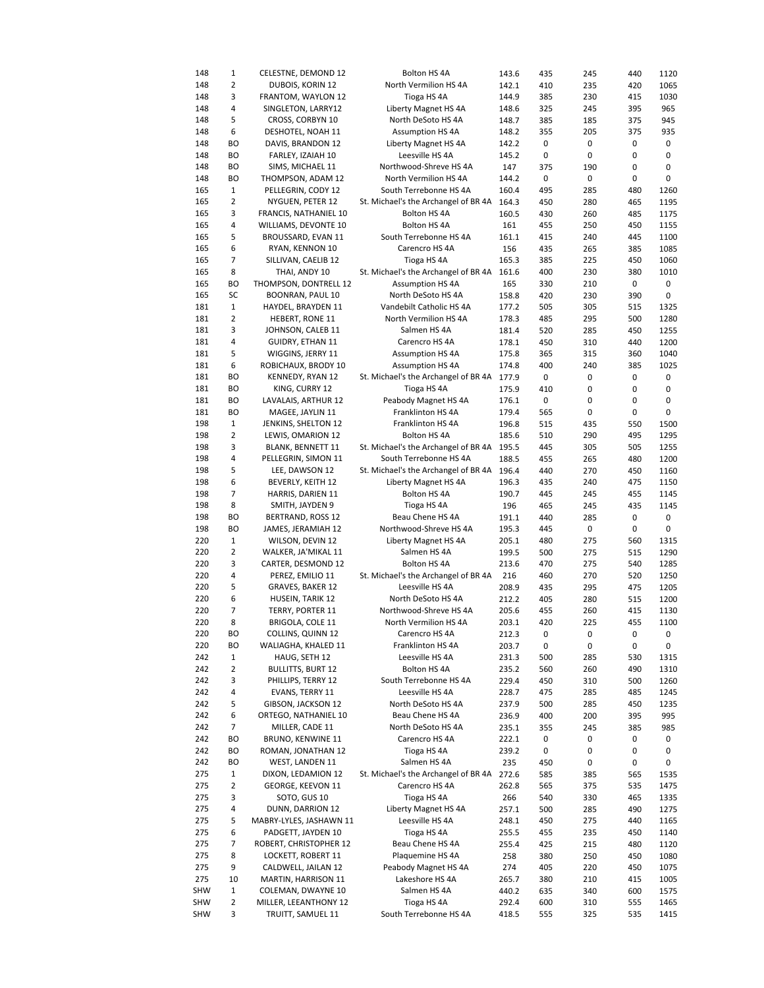| 148        | 1              | CELESTNE, DEMOND 12      | Bolton HS 4A                               | 143.6 | 435 | 245       | 440 | 1120 |
|------------|----------------|--------------------------|--------------------------------------------|-------|-----|-----------|-----|------|
| 148        | 2              | DUBOIS, KORIN 12         | North Vermilion HS 4A                      | 142.1 | 410 | 235       | 420 | 1065 |
|            |                |                          |                                            |       |     |           |     |      |
| 148        | 3              | FRANTOM, WAYLON 12       | Tioga HS 4A                                | 144.9 | 385 | 230       | 415 | 1030 |
| 148        | 4              | SINGLETON, LARRY12       | Liberty Magnet HS 4A                       | 148.6 | 325 | 245       | 395 | 965  |
| 148        | 5              | CROSS, CORBYN 10         | North DeSoto HS 4A                         | 148.7 | 385 | 185       | 375 | 945  |
| 148        | 6              | DESHOTEL, NOAH 11        | <b>Assumption HS 4A</b>                    | 148.2 | 355 | 205       | 375 | 935  |
|            | <b>BO</b>      | DAVIS, BRANDON 12        |                                            |       |     |           |     |      |
| 148        |                |                          | Liberty Magnet HS 4A                       | 142.2 | 0   | 0         | 0   | 0    |
| 148        | BO             | FARLEY, IZAIAH 10        | Leesville HS 4A                            | 145.2 | 0   | 0         | 0   | 0    |
| 148        | <b>BO</b>      | SIMS, MICHAEL 11         | Northwood-Shreve HS 4A                     | 147   | 375 | 190       | 0   | 0    |
| 148        | BO             | THOMPSON, ADAM 12        | North Vermilion HS 4A                      | 144.2 | 0   | $\pmb{0}$ | 0   | 0    |
|            |                |                          |                                            |       |     |           |     |      |
| 165        | 1              | PELLEGRIN, CODY 12       | South Terrebonne HS 4A                     | 160.4 | 495 | 285       | 480 | 1260 |
| 165        | 2              | NYGUEN, PETER 12         | St. Michael's the Archangel of BR 4A       | 164.3 | 450 | 280       | 465 | 1195 |
| 165        | 3              | FRANCIS, NATHANIEL 10    | Bolton HS 4A                               | 160.5 | 430 | 260       | 485 | 1175 |
| 165        | 4              | WILLIAMS, DEVONTE 10     | Bolton HS 4A                               | 161   | 455 | 250       | 450 | 1155 |
| 165        | 5              | BROUSSARD, EVAN 11       | South Terrebonne HS 4A                     | 161.1 | 415 | 240       | 445 | 1100 |
|            |                |                          |                                            |       |     |           |     |      |
| 165        | 6              | RYAN, KENNON 10          | Carencro HS 4A                             | 156   | 435 | 265       | 385 | 1085 |
| 165        | 7              | SILLIVAN, CAELIB 12      | Tioga HS 4A                                | 165.3 | 385 | 225       | 450 | 1060 |
| 165        | 8              | THAI, ANDY 10            | St. Michael's the Archangel of BR 4A       | 161.6 | 400 | 230       | 380 | 1010 |
| 165        | ВO             | THOMPSON, DONTRELL 12    | <b>Assumption HS 4A</b>                    | 165   | 330 | 210       | 0   | 0    |
|            |                |                          |                                            |       |     |           |     |      |
| 165        | SC             | BOONRAN, PAUL 10         | North DeSoto HS 4A                         | 158.8 | 420 | 230       | 390 | 0    |
| 181        | $\mathbf{1}$   | HAYDEL, BRAYDEN 11       | Vandebilt Catholic HS 4A                   | 177.2 | 505 | 305       | 515 | 1325 |
| 181        | $\overline{2}$ | HEBERT, RONE 11          | North Vermilion HS 4A                      | 178.3 | 485 | 295       | 500 | 1280 |
| 181        | 3              | JOHNSON, CALEB 11        | Salmen HS 4A                               | 181.4 | 520 | 285       | 450 | 1255 |
|            |                |                          |                                            |       |     |           |     |      |
| 181        | 4              | <b>GUIDRY, ETHAN 11</b>  | Carencro HS 4A                             | 178.1 | 450 | 310       | 440 | 1200 |
| 181        | 5              | WIGGINS, JERRY 11        | <b>Assumption HS 4A</b>                    | 175.8 | 365 | 315       | 360 | 1040 |
| 181        | 6              | ROBICHAUX, BRODY 10      | <b>Assumption HS 4A</b>                    | 174.8 | 400 | 240       | 385 | 1025 |
| 181        | ВO             | KENNEDY, RYAN 12         | St. Michael's the Archangel of BR 4A 177.9 |       | 0   | 0         | 0   | 0    |
|            |                |                          |                                            |       |     |           |     |      |
| 181        | ВO             | KING, CURRY 12           | Tioga HS 4A                                | 175.9 | 410 | 0         | 0   | 0    |
| 181        | BО             | LAVALAIS, ARTHUR 12      | Peabody Magnet HS 4A                       | 176.1 | 0   | 0         | 0   | 0    |
| 181        | BO             | MAGEE, JAYLIN 11         | Franklinton HS 4A                          | 179.4 | 565 | 0         | 0   | 0    |
| 198        | $\mathbf{1}$   | JENKINS, SHELTON 12      | Franklinton HS 4A                          | 196.8 | 515 | 435       | 550 | 1500 |
|            |                |                          |                                            |       |     |           |     |      |
| 198        | $\overline{2}$ | LEWIS, OMARION 12        | Bolton HS 4A                               | 185.6 | 510 | 290       | 495 | 1295 |
| 198        | 3              | <b>BLANK, BENNETT 11</b> | St. Michael's the Archangel of BR 4A       | 195.5 | 445 | 305       | 505 | 1255 |
| 198        | 4              | PELLEGRIN, SIMON 11      | South Terrebonne HS 4A                     | 188.5 | 455 | 265       | 480 | 1200 |
| 198        | 5              | LEE, DAWSON 12           | St. Michael's the Archangel of BR 4A       | 196.4 | 440 | 270       | 450 | 1160 |
|            |                |                          |                                            |       |     |           |     |      |
| 198        | 6              | BEVERLY, KEITH 12        | Liberty Magnet HS 4A                       | 196.3 | 435 | 240       | 475 | 1150 |
| 198        | 7              | HARRIS, DARIEN 11        | Bolton HS 4A                               | 190.7 | 445 | 245       | 455 | 1145 |
| 198        | 8              | SMITH, JAYDEN 9          | Tioga HS 4A                                | 196   | 465 | 245       | 435 | 1145 |
| 198        | BO             | BERTRAND, ROSS 12        | Beau Chene HS 4A                           | 191.1 | 440 | 285       | 0   | 0    |
| 198        | BO             | JAMES, JERAMIAH 12       | Northwood-Shreve HS 4A                     | 195.3 | 445 | 0         | 0   | 0    |
|            |                |                          |                                            |       |     |           |     |      |
| 220        | $\mathbf{1}$   | WILSON, DEVIN 12         | Liberty Magnet HS 4A                       | 205.1 | 480 | 275       | 560 | 1315 |
| 220        | 2              | WALKER, JA'MIKAL 11      | Salmen HS 4A                               | 199.5 | 500 | 275       | 515 | 1290 |
| 220        | 3              | CARTER, DESMOND 12       | Bolton HS 4A                               | 213.6 | 470 | 275       | 540 | 1285 |
| 220        | 4              | PEREZ, EMILIO 11         | St. Michael's the Archangel of BR 4A       | 216   | 460 | 270       | 520 | 1250 |
|            |                |                          |                                            |       |     |           |     |      |
| 220        | 5              | <b>GRAVES, BAKER 12</b>  | Leesville HS 4A                            | 208.9 | 435 | 295       | 475 | 1205 |
| 220        | 6              | HUSEIN, TARIK 12         | North DeSoto HS 4A                         | 212.2 | 405 | 280       | 515 | 1200 |
| 220        | 7              | TERRY, PORTER 11         | Northwood-Shreve HS 4A                     | 205.6 | 455 | 260       | 415 | 1130 |
| 220        | 8              | <b>BRIGOLA, COLE 11</b>  | North Vermilion HS 4A                      | 203.1 | 420 | 225       | 455 | 1100 |
|            |                | <b>COLLINS, QUINN 12</b> |                                            |       |     |           |     |      |
| 220        | ВO             |                          | Carencro HS 4A                             | 212.3 | 0   | 0         | 0   | 0    |
| 220        | BO             | WALIAGHA, KHALED 11      | Franklinton HS 4A                          | 203.7 | 0   | 0         | 0   | 0    |
| 242        | 1              | HAUG, SETH 12            | Leesville HS 4A                            | 231.3 | 500 | 285       | 530 | 1315 |
| 242        | 2              | <b>BULLITTS, BURT 12</b> | Bolton HS 4A                               | 235.2 | 560 | 260       | 490 | 1310 |
| 242        | 3              | PHILLIPS, TERRY 12       | South Terrebonne HS 4A                     | 229.4 | 450 | 310       | 500 | 1260 |
|            | 4              |                          |                                            |       |     |           |     |      |
| 242        |                | EVANS, TERRY 11          | Leesville HS 4A                            | 228.7 | 475 | 285       | 485 | 1245 |
| 242        | 5              | GIBSON, JACKSON 12       | North DeSoto HS 4A                         | 237.9 | 500 | 285       | 450 | 1235 |
| 242        | 6              | ORTEGO, NATHANIEL 10     | Beau Chene HS 4A                           | 236.9 | 400 | 200       | 395 | 995  |
| 242        | 7              | MILLER, CADE 11          | North DeSoto HS 4A                         | 235.1 | 355 | 245       | 385 | 985  |
|            |                |                          |                                            |       |     |           |     |      |
| 242        | BO             | BRUNO, KENWINE 11        | Carencro HS 4A                             | 222.1 | 0   | 0         | 0   | 0    |
| 242        | ВO             | ROMAN, JONATHAN 12       | Tioga HS 4A                                | 239.2 | 0   | 0         | 0   | 0    |
| 242        | ВO             | WEST, LANDEN 11          | Salmen HS 4A                               | 235   | 450 | 0         | 0   | 0    |
| 275        | 1              | DIXON, LEDAMION 12       | St. Michael's the Archangel of BR 4A 272.6 |       | 585 | 385       | 565 | 1535 |
| 275        | 2              | GEORGE, KEEVON 11        | Carencro HS 4A                             | 262.8 | 565 | 375       | 535 | 1475 |
|            |                |                          |                                            |       |     |           |     |      |
| 275        | 3              | SOTO, GUS 10             | Tioga HS 4A                                | 266   | 540 | 330       | 465 | 1335 |
| 275        | 4              | DUNN, DARRION 12         | Liberty Magnet HS 4A                       | 257.1 | 500 | 285       | 490 | 1275 |
| 275        | 5              | MABRY-LYLES, JASHAWN 11  | Leesville HS 4A                            | 248.1 | 450 | 275       | 440 | 1165 |
| 275        | 6              | PADGETT, JAYDEN 10       | Tioga HS 4A                                | 255.5 | 455 | 235       | 450 | 1140 |
|            |                |                          |                                            |       |     |           |     |      |
| 275        | 7              | ROBERT, CHRISTOPHER 12   | Beau Chene HS 4A                           | 255.4 | 425 | 215       | 480 | 1120 |
| 275        | 8              | LOCKETT, ROBERT 11       | Plaquemine HS 4A                           | 258   | 380 | 250       | 450 | 1080 |
| 275        | 9              | CALDWELL, JAILAN 12      | Peabody Magnet HS 4A                       | 274   | 405 | 220       | 450 | 1075 |
| 275        | 10             | MARTIN, HARRISON 11      | Lakeshore HS 4A                            | 265.7 | 380 | 210       | 415 | 1005 |
| SHW        | 1              |                          |                                            |       |     |           |     |      |
|            |                | COLEMAN, DWAYNE 10       | Salmen HS 4A                               | 440.2 | 635 | 340       | 600 | 1575 |
| <b>SHW</b> | 2              | MILLER, LEEANTHONY 12    | Tioga HS 4A                                | 292.4 | 600 | 310       | 555 | 1465 |
| <b>SHW</b> | 3              | TRUITT, SAMUEL 11        | South Terrebonne HS 4A                     | 418.5 | 555 | 325       | 535 | 1415 |
|            |                |                          |                                            |       |     |           |     |      |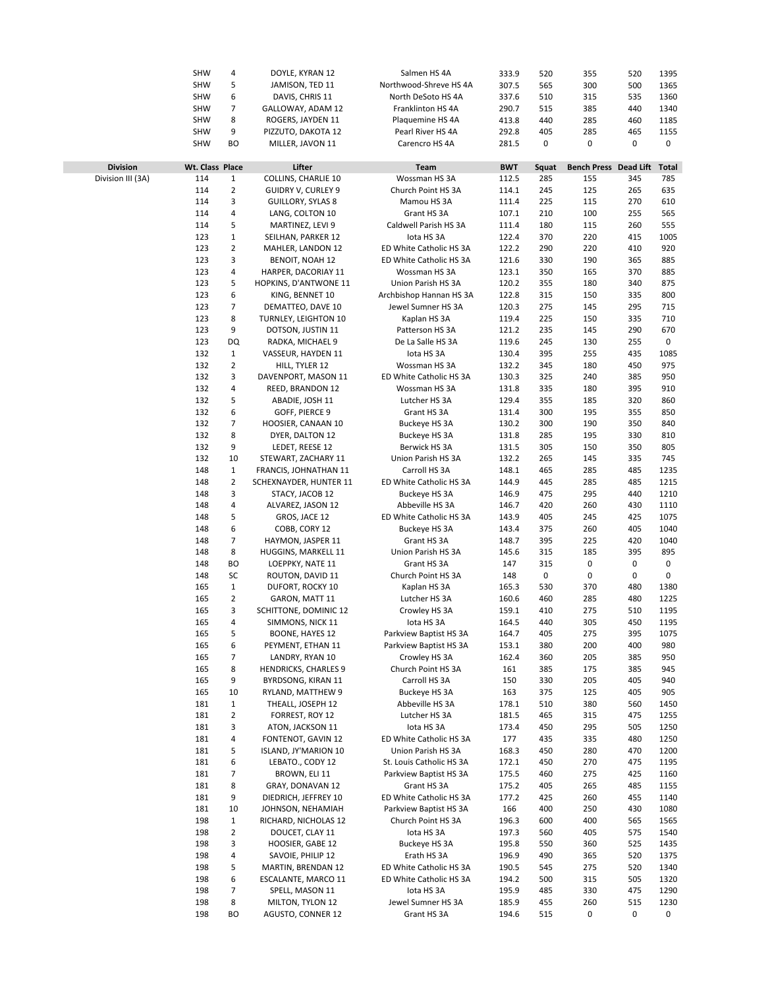|                   | <b>SHW</b>      | 4              | DOYLE, KYRAN 12             | Salmen HS 4A             | 333.9      | 520       | 355                   | 520 | 1395         |
|-------------------|-----------------|----------------|-----------------------------|--------------------------|------------|-----------|-----------------------|-----|--------------|
|                   | <b>SHW</b>      | 5              | JAMISON, TED 11             | Northwood-Shreve HS 4A   | 307.5      | 565       | 300                   | 500 | 1365         |
|                   |                 |                |                             |                          |            |           |                       |     |              |
|                   | <b>SHW</b>      | 6              | DAVIS, CHRIS 11             | North DeSoto HS 4A       | 337.6      | 510       | 315                   | 535 | 1360         |
|                   | <b>SHW</b>      | 7              | GALLOWAY, ADAM 12           | Franklinton HS 4A        | 290.7      | 515       | 385                   | 440 | 1340         |
|                   | <b>SHW</b>      | 8              | ROGERS, JAYDEN 11           | Plaquemine HS 4A         | 413.8      | 440       | 285                   | 460 | 1185         |
|                   | <b>SHW</b>      | 9              | PIZZUTO, DAKOTA 12          | Pearl River HS 4A        | 292.8      | 405       | 285                   | 465 | 1155         |
|                   | <b>SHW</b>      | <b>BO</b>      | MILLER, JAVON 11            |                          |            | 0         | 0                     | 0   | 0            |
|                   |                 |                |                             | Carencro HS 4A           | 281.5      |           |                       |     |              |
|                   |                 |                |                             |                          |            |           |                       |     |              |
| <b>Division</b>   | Wt. Class Place |                | Lifter                      | <b>Team</b>              | <b>BWT</b> | Squat     | Bench Press Dead Lift |     | <b>Total</b> |
| Division III (3A) | 114             | $1\,$          | COLLINS, CHARLIE 10         | Wossman HS 3A            | 112.5      | 285       | 155                   | 345 | 785          |
|                   | 114             | $\overline{2}$ | <b>GUIDRY V, CURLEY 9</b>   | Church Point HS 3A       | 114.1      | 245       | 125                   | 265 | 635          |
|                   | 114             | 3              | <b>GUILLORY, SYLAS 8</b>    | Mamou HS 3A              | 111.4      | 225       | 115                   | 270 | 610          |
|                   | 114             | 4              |                             | Grant HS 3A              | 107.1      | 210       | 100                   | 255 | 565          |
|                   |                 |                | LANG, COLTON 10             |                          |            |           |                       |     |              |
|                   | 114             | 5              | MARTINEZ, LEVI 9            | Caldwell Parish HS 3A    | 111.4      | 180       | 115                   | 260 | 555          |
|                   | 123             | 1              | SEILHAN, PARKER 12          | lota HS 3A               | 122.4      | 370       | 220                   | 415 | 1005         |
|                   | 123             | $\overline{2}$ | MAHLER, LANDON 12           | ED White Catholic HS 3A  | 122.2      | 290       | 220                   | 410 | 920          |
|                   | 123             | 3              | <b>BENOIT, NOAH 12</b>      | ED White Catholic HS 3A  | 121.6      | 330       | 190                   | 365 | 885          |
|                   | 123             | 4              | HARPER, DACORIAY 11         | Wossman HS 3A            | 123.1      | 350       | 165                   | 370 | 885          |
|                   | 123             | 5              | HOPKINS, D'ANTWONE 11       | Union Parish HS 3A       | 120.2      | 355       | 180                   | 340 | 875          |
|                   |                 |                |                             |                          |            |           |                       |     |              |
|                   | 123             | 6              | KING, BENNET 10             | Archbishop Hannan HS 3A  | 122.8      | 315       | 150                   | 335 | 800          |
|                   | 123             | $\overline{7}$ | DEMATTEO, DAVE 10           | Jewel Sumner HS 3A       | 120.3      | 275       | 145                   | 295 | 715          |
|                   | 123             | 8              | TURNLEY, LEIGHTON 10        | Kaplan HS 3A             | 119.4      | 225       | 150                   | 335 | 710          |
|                   | 123             | 9              | DOTSON, JUSTIN 11           | Patterson HS 3A          | 121.2      | 235       | 145                   | 290 | 670          |
|                   | 123             | DQ             | RADKA, MICHAEL 9            | De La Salle HS 3A        | 119.6      | 245       | 130                   | 255 | 0            |
|                   | 132             | $1\,$          | VASSEUR, HAYDEN 11          | lota HS 3A               | 130.4      | 395       | 255                   | 435 | 1085         |
|                   |                 |                |                             |                          |            |           |                       |     |              |
|                   | 132             | $\overline{2}$ | HILL, TYLER 12              | Wossman HS 3A            | 132.2      | 345       | 180                   | 450 | 975          |
|                   | 132             | 3              | DAVENPORT, MASON 11         | ED White Catholic HS 3A  | 130.3      | 325       | 240                   | 385 | 950          |
|                   | 132             | 4              | REED, BRANDON 12            | Wossman HS 3A            | 131.8      | 335       | 180                   | 395 | 910          |
|                   | 132             | 5              | ABADIE, JOSH 11             | Lutcher HS 3A            | 129.4      | 355       | 185                   | 320 | 860          |
|                   | 132             | 6              | GOFF, PIERCE 9              | Grant HS 3A              | 131.4      | 300       | 195                   | 355 | 850          |
|                   | 132             | 7              |                             |                          | 130.2      | 300       | 190                   | 350 | 840          |
|                   |                 |                | HOOSIER, CANAAN 10          | Buckeye HS 3A            |            |           |                       |     |              |
|                   | 132             | 8              | DYER, DALTON 12             | Buckeye HS 3A            | 131.8      | 285       | 195                   | 330 | 810          |
|                   | 132             | 9              | LEDET, REESE 12             | Berwick HS 3A            | 131.5      | 305       | 150                   | 350 | 805          |
|                   | 132             | 10             | STEWART, ZACHARY 11         | Union Parish HS 3A       | 132.2      | 265       | 145                   | 335 | 745          |
|                   | 148             | 1              | FRANCIS, JOHNATHAN 11       | Carroll HS 3A            | 148.1      | 465       | 285                   | 485 | 1235         |
|                   | 148             | $\mathbf 2$    | SCHEXNAYDER, HUNTER 11      | ED White Catholic HS 3A  | 144.9      | 445       | 285                   | 485 | 1215         |
|                   | 148             | 3              | STACY, JACOB 12             | Buckeye HS 3A            | 146.9      | 475       | 295                   | 440 | 1210         |
|                   |                 |                |                             |                          |            |           |                       |     |              |
|                   | 148             | 4              | ALVAREZ, JASON 12           | Abbeville HS 3A          | 146.7      | 420       | 260                   | 430 | 1110         |
|                   | 148             | 5              | GROS, JACE 12               | ED White Catholic HS 3A  | 143.9      | 405       | 245                   | 425 | 1075         |
|                   | 148             | 6              | COBB, CORY 12               | Buckeye HS 3A            | 143.4      | 375       | 260                   | 405 | 1040         |
|                   | 148             | $\overline{7}$ | HAYMON, JASPER 11           | Grant HS 3A              | 148.7      | 395       | 225                   | 420 | 1040         |
|                   | 148             | 8              | HUGGINS, MARKELL 11         | Union Parish HS 3A       | 145.6      | 315       | 185                   | 395 | 895          |
|                   | 148             | <b>BO</b>      | LOEPPKY, NATE 11            | Grant HS 3A              | 147        | 315       | 0                     | 0   | 0            |
|                   |                 |                |                             |                          |            |           |                       | 0   | 0            |
|                   | 148             | SC             | ROUTON, DAVID 11            | Church Point HS 3A       | 148        | $\pmb{0}$ | 0                     |     |              |
|                   | 165             | $1\,$          | DUFORT, ROCKY 10            | Kaplan HS 3A             | 165.3      | 530       | 370                   | 480 | 1380         |
|                   | 165             | $\overline{2}$ | GARON, MATT 11              | Lutcher HS 3A            | 160.6      | 460       | 285                   | 480 | 1225         |
|                   | 165             | 3              | SCHITTONE, DOMINIC 12       | Crowley HS 3A            | 159.1      | 410       | 275                   | 510 | 1195         |
|                   | 165             | 4              | SIMMONS, NICK 11            | lota HS 3A               | 164.5      | 440       | 305                   | 450 | 1195         |
|                   | 165             | 5              | BOONE, HAYES 12             | Parkview Baptist HS 3A   | 164.7      | 405       | 275                   | 395 | 1075         |
|                   | 165             | 6              | PEYMENT, ETHAN 11           | Parkview Baptist HS 3A   | 153.1      | 380       | 200                   | 400 | 980          |
|                   |                 |                |                             |                          |            |           |                       |     |              |
|                   | 165             | 7              | LANDRY, RYAN 10             | Crowley HS 3A            | 162.4      | 360       | 205                   | 385 | 950          |
|                   | 165             | 8              | <b>HENDRICKS, CHARLES 9</b> | Church Point HS 3A       | 161        | 385       | 175                   | 385 | 945          |
|                   | 165             | 9              | BYRDSONG, KIRAN 11          | Carroll HS 3A            | 150        | 330       | 205                   | 405 | 940          |
|                   | 165             | 10             | RYLAND, MATTHEW 9           | Buckeye HS 3A            | 163        | 375       | 125                   | 405 | 905          |
|                   | 181             | $1\,$          | THEALL, JOSEPH 12           | Abbeville HS 3A          | 178.1      | 510       | 380                   | 560 | 1450         |
|                   | 181             | $\overline{2}$ | FORREST, ROY 12             | Lutcher HS 3A            | 181.5      | 465       | 315                   | 475 | 1255         |
|                   |                 |                |                             |                          |            |           |                       |     |              |
|                   | 181             | 3              | ATON, JACKSON 11            | lota HS 3A               | 173.4      | 450       | 295                   | 505 | 1250         |
|                   | 181             | 4              | FONTENOT, GAVIN 12          | ED White Catholic HS 3A  | 177        | 435       | 335                   | 480 | 1250         |
|                   | 181             | 5              | ISLAND, JY'MARION 10        | Union Parish HS 3A       | 168.3      | 450       | 280                   | 470 | 1200         |
|                   | 181             | 6              | LEBATO., CODY 12            | St. Louis Catholic HS 3A | 172.1      | 450       | 270                   | 475 | 1195         |
|                   | 181             | 7              | BROWN, ELI 11               | Parkview Baptist HS 3A   | 175.5      | 460       | 275                   | 425 | 1160         |
|                   | 181             | 8              | GRAY, DONAVAN 12            | Grant HS 3A              | 175.2      | 405       | 265                   | 485 | 1155         |
|                   |                 | 9              |                             |                          |            |           |                       |     |              |
|                   | 181             |                | DIEDRICH, JEFFREY 10        | ED White Catholic HS 3A  | 177.2      | 425       | 260                   | 455 | 1140         |
|                   | 181             | 10             | JOHNSON, NEHAMIAH           | Parkview Baptist HS 3A   | 166        | 400       | 250                   | 430 | 1080         |
|                   | 198             | $1\,$          | RICHARD, NICHOLAS 12        | Church Point HS 3A       | 196.3      | 600       | 400                   | 565 | 1565         |
|                   | 198             | $\overline{2}$ | DOUCET, CLAY 11             | lota HS 3A               | 197.3      | 560       | 405                   | 575 | 1540         |
|                   | 198             | 3              | HOOSIER, GABE 12            | Buckeye HS 3A            | 195.8      | 550       | 360                   | 525 | 1435         |
|                   | 198             | 4              | SAVOIE, PHILIP 12           | Erath HS 3A              | 196.9      | 490       | 365                   | 520 | 1375         |
|                   | 198             | 5              | MARTIN, BRENDAN 12          | ED White Catholic HS 3A  | 190.5      | 545       | 275                   | 520 | 1340         |
|                   |                 |                |                             |                          |            |           |                       |     |              |
|                   | 198             | 6              | ESCALANTE, MARCO 11         | ED White Catholic HS 3A  | 194.2      | 500       | 315                   | 505 | 1320         |
|                   | 198             | 7              | SPELL, MASON 11             | lota HS 3A               | 195.9      | 485       | 330                   | 475 | 1290         |
|                   | 198             | 8              | MILTON, TYLON 12            | Jewel Sumner HS 3A       | 185.9      | 455       | 260                   | 515 | 1230         |
|                   | 198             | BO             | AGUSTO, CONNER 12           | Grant HS 3A              | 194.6      | 515       | 0                     | 0   | 0            |
|                   |                 |                |                             |                          |            |           |                       |     |              |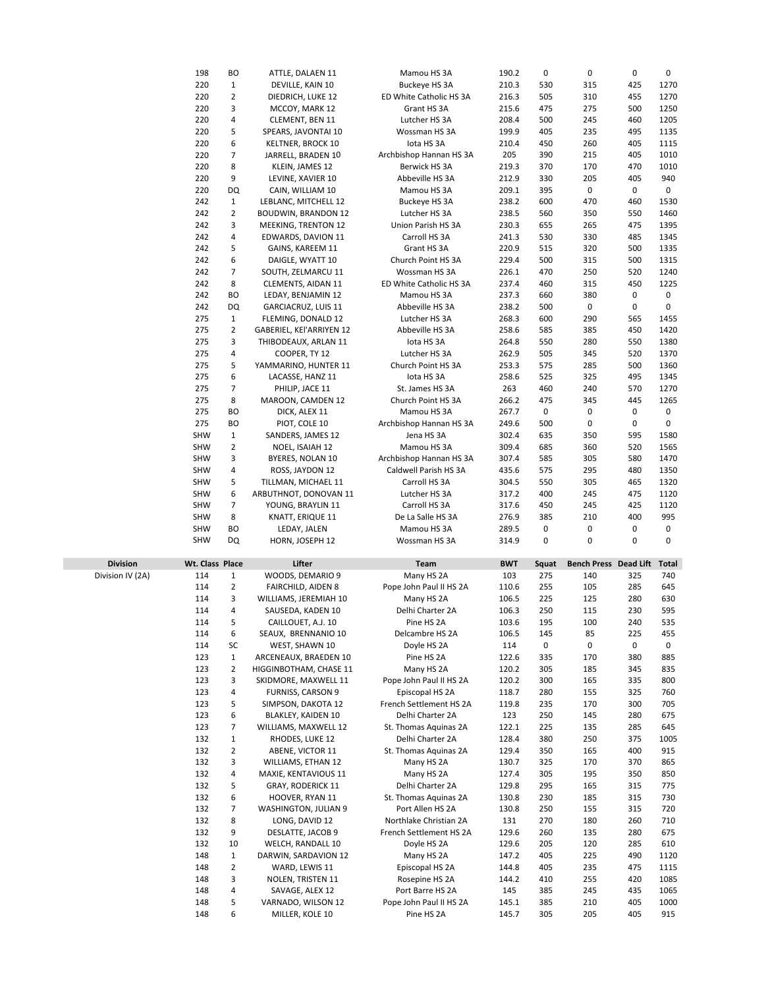|                  | 198             | BO             | ATTLE, DALAEN 11           | Mamou HS 3A             | 190.2      | 0     | 0                            | 0   | 0            |
|------------------|-----------------|----------------|----------------------------|-------------------------|------------|-------|------------------------------|-----|--------------|
|                  | 220             | $\mathbf 1$    | DEVILLE, KAIN 10           | Buckeye HS 3A           | 210.3      | 530   | 315                          | 425 | 1270         |
|                  | 220             | $\overline{2}$ |                            |                         |            |       |                              |     |              |
|                  |                 |                | DIEDRICH, LUKE 12          | ED White Catholic HS 3A | 216.3      | 505   | 310                          | 455 | 1270         |
|                  | 220             | 3              | MCCOY, MARK 12             | Grant HS 3A             | 215.6      | 475   | 275                          | 500 | 1250         |
|                  | 220             | 4              | CLEMENT, BEN 11            | Lutcher HS 3A           | 208.4      | 500   | 245                          | 460 | 1205         |
|                  | 220             | 5              | SPEARS, JAVONTAI 10        | Wossman HS 3A           | 199.9      | 405   | 235                          | 495 | 1135         |
|                  | 220             | 6              | <b>KELTNER, BROCK 10</b>   | lota HS 3A              | 210.4      | 450   | 260                          | 405 | 1115         |
|                  | 220             | 7              | JARRELL, BRADEN 10         | Archbishop Hannan HS 3A | 205        | 390   | 215                          | 405 | 1010         |
|                  | 220             | 8              | KLEIN, JAMES 12            | Berwick HS 3A           | 219.3      | 370   | 170                          | 470 | 1010         |
|                  | 220             | 9              | LEVINE, XAVIER 10          | Abbeville HS 3A         | 212.9      | 330   | 205                          | 405 | 940          |
|                  |                 |                |                            |                         |            |       |                              |     |              |
|                  | 220             | DQ             | CAIN, WILLIAM 10           | Mamou HS 3A             | 209.1      | 395   | 0                            | 0   | 0            |
|                  | 242             | $\mathbf{1}$   | LEBLANC, MITCHELL 12       | Buckeye HS 3A           | 238.2      | 600   | 470                          | 460 | 1530         |
|                  | 242             | $\overline{2}$ | <b>BOUDWIN, BRANDON 12</b> | Lutcher HS 3A           | 238.5      | 560   | 350                          | 550 | 1460         |
|                  | 242             | 3              | MEEKING, TRENTON 12        | Union Parish HS 3A      | 230.3      | 655   | 265                          | 475 | 1395         |
|                  | 242             | 4              | EDWARDS, DAVION 11         | Carroll HS 3A           | 241.3      | 530   | 330                          | 485 | 1345         |
|                  | 242             | 5              | GAINS, KAREEM 11           | Grant HS 3A             | 220.9      | 515   | 320                          | 500 | 1335         |
|                  | 242             | 6              | DAIGLE, WYATT 10           | Church Point HS 3A      | 229.4      | 500   | 315                          | 500 | 1315         |
|                  | 242             | $\overline{7}$ |                            | Wossman HS 3A           |            |       | 250                          | 520 | 1240         |
|                  |                 |                | SOUTH, ZELMARCU 11         |                         | 226.1      | 470   |                              |     |              |
|                  | 242             | 8              | CLEMENTS, AIDAN 11         | ED White Catholic HS 3A | 237.4      | 460   | 315                          | 450 | 1225         |
|                  | 242             | BO             | LEDAY, BENJAMIN 12         | Mamou HS 3A             | 237.3      | 660   | 380                          | 0   | 0            |
|                  | 242             | DQ             | GARCIACRUZ, LUIS 11        | Abbeville HS 3A         | 238.2      | 500   | 0                            | 0   | 0            |
|                  | 275             | $\mathbf{1}$   | FLEMING, DONALD 12         | Lutcher HS 3A           | 268.3      | 600   | 290                          | 565 | 1455         |
|                  | 275             | $\overline{2}$ | GABERIEL, KEI'ARRIYEN 12   | Abbeville HS 3A         | 258.6      | 585   | 385                          | 450 | 1420         |
|                  | 275             | 3              | THIBODEAUX, ARLAN 11       | lota HS 3A              | 264.8      | 550   | 280                          | 550 | 1380         |
|                  |                 |                |                            |                         |            |       |                              |     |              |
|                  | 275             | 4              | COOPER, TY 12              | Lutcher HS 3A           | 262.9      | 505   | 345                          | 520 | 1370         |
|                  | 275             | 5              | YAMMARINO, HUNTER 11       | Church Point HS 3A      | 253.3      | 575   | 285                          | 500 | 1360         |
|                  | 275             | 6              | LACASSE, HANZ 11           | lota HS 3A              | 258.6      | 525   | 325                          | 495 | 1345         |
|                  | 275             | $\overline{7}$ | PHILIP, JACE 11            | St. James HS 3A         | 263        | 460   | 240                          | 570 | 1270         |
|                  | 275             | 8              | MAROON, CAMDEN 12          | Church Point HS 3A      | 266.2      | 475   | 345                          | 445 | 1265         |
|                  | 275             | BO             | DICK, ALEX 11              | Mamou HS 3A             | 267.7      | 0     | 0                            | 0   | 0            |
|                  |                 |                |                            |                         |            |       | $\pmb{0}$                    | 0   | $\pmb{0}$    |
|                  | 275             | BO             | PIOT, COLE 10              | Archbishop Hannan HS 3A | 249.6      | 500   |                              |     |              |
|                  | <b>SHW</b>      | $\mathbf 1$    | SANDERS, JAMES 12          | Jena HS 3A              | 302.4      | 635   | 350                          | 595 | 1580         |
|                  | <b>SHW</b>      | $\overline{2}$ | NOEL, ISAIAH 12            | Mamou HS 3A             | 309.4      | 685   | 360                          | 520 | 1565         |
|                  | <b>SHW</b>      | 3              | BYERES, NOLAN 10           | Archbishop Hannan HS 3A | 307.4      | 585   | 305                          | 580 | 1470         |
|                  | <b>SHW</b>      | 4              | ROSS, JAYDON 12            | Caldwell Parish HS 3A   | 435.6      | 575   | 295                          | 480 | 1350         |
|                  | <b>SHW</b>      | 5              | TILLMAN, MICHAEL 11        | Carroll HS 3A           | 304.5      | 550   | 305                          | 465 | 1320         |
|                  | <b>SHW</b>      | 6              | ARBUTHNOT, DONOVAN 11      | Lutcher HS 3A           | 317.2      | 400   | 245                          | 475 | 1120         |
|                  | <b>SHW</b>      | 7              |                            | Carroll HS 3A           | 317.6      | 450   | 245                          | 425 | 1120         |
|                  |                 |                | YOUNG, BRAYLIN 11          |                         |            |       |                              |     |              |
|                  | <b>SHW</b>      | 8              | KNATT, ERIQUE 11           | De La Salle HS 3A       | 276.9      | 385   | 210                          | 400 | 995          |
|                  | <b>SHW</b>      | ВO             | LEDAY, JALEN               | Mamou HS 3A             | 289.5      | 0     | 0                            | 0   | 0            |
|                  | <b>SHW</b>      | DQ             | HORN, JOSEPH 12            | Wossman HS 3A           | 314.9      | 0     | 0                            | 0   | 0            |
|                  |                 |                |                            |                         |            |       |                              |     |              |
| <b>Division</b>  |                 |                | Lifter                     | Team                    | <b>BWT</b> | Squat | <b>Bench Press Dead Lift</b> |     | <b>Total</b> |
|                  | Wt. Class Place |                |                            |                         |            |       |                              |     | 740          |
|                  |                 |                |                            |                         |            |       |                              |     |              |
| Division IV (2A) | 114             | 1              | WOODS, DEMARIO 9           | Many HS 2A              | 103        | 275   | 140                          | 325 |              |
|                  | 114             | $\overline{2}$ | <b>FAIRCHILD, AIDEN 8</b>  | Pope John Paul II HS 2A | 110.6      | 255   | 105                          | 285 | 645          |
|                  | 114             | 3              | WILLIAMS, JEREMIAH 10      | Many HS 2A              | 106.5      | 225   | 125                          | 280 | 630          |
|                  | 114             | 4              | SAUSEDA, KADEN 10          | Delhi Charter 2A        | 106.3      | 250   | 115                          | 230 | 595          |
|                  | 114             | 5              | CAILLOUET, A.J. 10         | Pine HS 2A              | 103.6      | 195   | 100                          | 240 | 535          |
|                  | 114             | 6              | SEAUX, BRENNANIO 10        | Delcambre HS 2A         | 106.5      | 145   | 85                           | 225 | 455          |
|                  |                 | SC             | WEST, SHAWN 10             | Doyle HS 2A             |            | 0     | 0                            |     | 0            |
|                  | 114             |                |                            |                         | 114        |       |                              | 0   |              |
|                  | 123             | $\mathbf{1}$   | ARCENEAUX, BRAEDEN 10      | Pine HS 2A              | 122.6      | 335   | 170                          | 380 | 885          |
|                  | 123             | $\overline{2}$ | HIGGINBOTHAM, CHASE 11     | Many HS 2A              | 120.2      | 305   | 185                          | 345 | 835          |
|                  | 123             | 3              | SKIDMORE, MAXWELL 11       | Pope John Paul II HS 2A | 120.2      | 300   | 165                          | 335 | 800          |
|                  | 123             | 4              | <b>FURNISS, CARSON 9</b>   | Episcopal HS 2A         | 118.7      | 280   | 155                          | 325 | 760          |
|                  | 123             | 5              | SIMPSON, DAKOTA 12         | French Settlement HS 2A | 119.8      | 235   | 170                          | 300 | 705          |
|                  | 123             | 6              | BLAKLEY, KAIDEN 10         | Delhi Charter 2A        | 123        | 250   | 145                          | 280 | 675          |
|                  | 123             | 7              | WILLIAMS, MAXWELL 12       | St. Thomas Aquinas 2A   | 122.1      | 225   | 135                          | 285 | 645          |
|                  | 132             | $\mathbf{1}$   | RHODES, LUKE 12            | Delhi Charter 2A        |            |       |                              | 375 |              |
|                  |                 |                |                            |                         | 128.4      | 380   | 250                          |     | 1005         |
|                  | 132             | $\overline{2}$ | ABENE, VICTOR 11           | St. Thomas Aquinas 2A   | 129.4      | 350   | 165                          | 400 | 915          |
|                  | 132             | 3              | WILLIAMS, ETHAN 12         | Many HS 2A              | 130.7      | 325   | 170                          | 370 | 865          |
|                  | 132             | 4              | MAXIE, KENTAVIOUS 11       | Many HS 2A              | 127.4      | 305   | 195                          | 350 | 850          |
|                  | 132             | 5              | GRAY, RODERICK 11          | Delhi Charter 2A        | 129.8      | 295   | 165                          | 315 | 775          |
|                  | 132             | 6              | HOOVER, RYAN 11            | St. Thomas Aquinas 2A   | 130.8      | 230   | 185                          | 315 | 730          |
|                  | 132             | $\overline{7}$ | WASHINGTON, JULIAN 9       | Port Allen HS 2A        | 130.8      | 250   | 155                          | 315 | 720          |
|                  |                 | 8              | LONG, DAVID 12             | Northlake Christian 2A  |            |       | 180                          | 260 |              |
|                  | 132             |                |                            |                         | 131        | 270   |                              |     | 710          |
|                  | 132             | 9              | DESLATTE, JACOB 9          | French Settlement HS 2A | 129.6      | 260   | 135                          | 280 | 675          |
|                  | 132             | 10             | WELCH, RANDALL 10          | Doyle HS 2A             | 129.6      | 205   | 120                          | 285 | 610          |
|                  | 148             | $\mathbf{1}$   | DARWIN, SARDAVION 12       | Many HS 2A              | 147.2      | 405   | 225                          | 490 | 1120         |
|                  | 148             | $\overline{2}$ | WARD, LEWIS 11             | Episcopal HS 2A         | 144.8      | 405   | 235                          | 475 | 1115         |
|                  | 148             | 3              | NOLEN, TRISTEN 11          | Rosepine HS 2A          | 144.2      | 410   | 255                          | 420 | 1085         |
|                  | 148             | 4              | SAVAGE, ALEX 12            | Port Barre HS 2A        | 145        | 385   | 245                          | 435 | 1065         |
|                  | 148             | 5              | VARNADO, WILSON 12         | Pope John Paul II HS 2A | 145.1      | 385   | 210                          | 405 | 1000         |
|                  | 148             | 6              | MILLER, KOLE 10            | Pine HS 2A              | 145.7      | 305   | 205                          | 405 | 915          |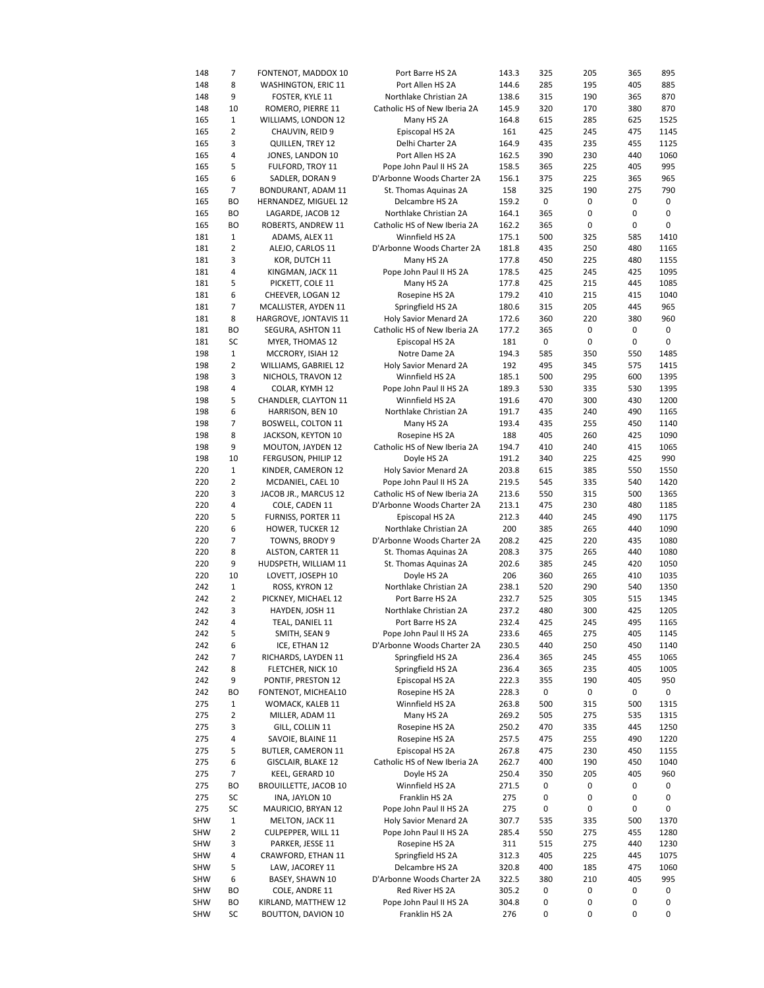| 148        | 7              | FONTENOT, MADDOX 10          | Port Barre HS 2A             | 143.3 | 325 | 205 | 365 | 895  |
|------------|----------------|------------------------------|------------------------------|-------|-----|-----|-----|------|
| 148        | 8              | WASHINGTON, ERIC 11          | Port Allen HS 2A             | 144.6 | 285 | 195 | 405 | 885  |
|            |                |                              |                              |       |     |     |     |      |
| 148        | 9              | FOSTER, KYLE 11              | Northlake Christian 2A       | 138.6 | 315 | 190 | 365 | 870  |
| 148        | 10             | ROMERO, PIERRE 11            | Catholic HS of New Iberia 2A | 145.9 | 320 | 170 | 380 | 870  |
| 165        | 1              | WILLIAMS, LONDON 12          | Many HS 2A                   | 164.8 | 615 | 285 | 625 | 1525 |
| 165        | $\overline{2}$ | CHAUVIN, REID 9              | Episcopal HS 2A              | 161   | 425 | 245 | 475 | 1145 |
|            |                |                              |                              |       |     |     |     |      |
| 165        | 3              | QUILLEN, TREY 12             | Delhi Charter 2A             | 164.9 | 435 | 235 | 455 | 1125 |
| 165        | 4              | JONES, LANDON 10             | Port Allen HS 2A             | 162.5 | 390 | 230 | 440 | 1060 |
| 165        | 5              | FULFORD, TROY 11             | Pope John Paul II HS 2A      | 158.5 | 365 | 225 | 405 | 995  |
| 165        | 6              | SADLER, DORAN 9              | D'Arbonne Woods Charter 2A   | 156.1 | 375 | 225 | 365 | 965  |
|            |                |                              |                              |       |     |     |     |      |
| 165        | 7              | BONDURANT, ADAM 11           | St. Thomas Aquinas 2A        | 158   | 325 | 190 | 275 | 790  |
| 165        | BO             | HERNANDEZ, MIGUEL 12         | Delcambre HS 2A              | 159.2 | 0   | 0   | 0   | 0    |
| 165        | ВO             | LAGARDE, JACOB 12            | Northlake Christian 2A       | 164.1 | 365 | 0   | 0   | 0    |
|            | BО             |                              |                              |       | 365 | 0   | 0   | 0    |
| 165        |                | ROBERTS, ANDREW 11           | Catholic HS of New Iberia 2A | 162.2 |     |     |     |      |
| 181        | 1              | ADAMS, ALEX 11               | Winnfield HS 2A              | 175.1 | 500 | 325 | 585 | 1410 |
| 181        | 2              | ALEJO, CARLOS 11             | D'Arbonne Woods Charter 2A   | 181.8 | 435 | 250 | 480 | 1165 |
| 181        | 3              | KOR, DUTCH 11                | Many HS 2A                   | 177.8 | 450 | 225 | 480 | 1155 |
|            |                |                              |                              |       |     |     |     |      |
| 181        | 4              | KINGMAN, JACK 11             | Pope John Paul II HS 2A      | 178.5 | 425 | 245 | 425 | 1095 |
| 181        | 5              | PICKETT, COLE 11             | Many HS 2A                   | 177.8 | 425 | 215 | 445 | 1085 |
| 181        | 6              | CHEEVER, LOGAN 12            | Rosepine HS 2A               | 179.2 | 410 | 215 | 415 | 1040 |
| 181        | 7              | MCALLISTER, AYDEN 11         | Springfield HS 2A            | 180.6 | 315 | 205 | 445 | 965  |
|            |                |                              |                              |       |     |     |     |      |
| 181        | 8              | HARGROVE, JONTAVIS 11        | Holy Savior Menard 2A        | 172.6 | 360 | 220 | 380 | 960  |
| 181        | ВO             | SEGURA, ASHTON 11            | Catholic HS of New Iberia 2A | 177.2 | 365 | 0   | 0   | 0    |
| 181        | SC             | MYER, THOMAS 12              | Episcopal HS 2A              | 181   | 0   | 0   | 0   | 0    |
| 198        | 1              | MCCRORY, ISIAH 12            | Notre Dame 2A                | 194.3 | 585 | 350 | 550 | 1485 |
|            |                |                              |                              |       |     |     |     |      |
| 198        | 2              | WILLIAMS, GABRIEL 12         | Holy Savior Menard 2A        | 192   | 495 | 345 | 575 | 1415 |
| 198        | 3              | NICHOLS, TRAVON 12           | Winnfield HS 2A              | 185.1 | 500 | 295 | 600 | 1395 |
| 198        | 4              | COLAR, KYMH 12               | Pope John Paul II HS 2A      | 189.3 | 530 | 335 | 530 | 1395 |
|            | 5              | CHANDLER, CLAYTON 11         |                              |       |     |     |     |      |
| 198        |                |                              | Winnfield HS 2A              | 191.6 | 470 | 300 | 430 | 1200 |
| 198        | 6              | HARRISON, BEN 10             | Northlake Christian 2A       | 191.7 | 435 | 240 | 490 | 1165 |
| 198        | 7              | <b>BOSWELL, COLTON 11</b>    | Many HS 2A                   | 193.4 | 435 | 255 | 450 | 1140 |
| 198        | 8              | JACKSON, KEYTON 10           | Rosepine HS 2A               | 188   | 405 | 260 | 425 | 1090 |
|            |                |                              |                              |       |     |     |     |      |
| 198        | 9              | MOUTON, JAYDEN 12            | Catholic HS of New Iberia 2A | 194.7 | 410 | 240 | 415 | 1065 |
| 198        | 10             | FERGUSON, PHILIP 12          | Doyle HS 2A                  | 191.2 | 340 | 225 | 425 | 990  |
| 220        | 1              | KINDER, CAMERON 12           | Holy Savior Menard 2A        | 203.8 | 615 | 385 | 550 | 1550 |
| 220        | 2              | MCDANIEL, CAEL 10            | Pope John Paul II HS 2A      | 219.5 | 545 | 335 | 540 | 1420 |
|            |                |                              |                              |       |     |     |     |      |
| 220        | 3              | JACOB JR., MARCUS 12         | Catholic HS of New Iberia 2A | 213.6 | 550 | 315 | 500 | 1365 |
| 220        | 4              | COLE, CADEN 11               | D'Arbonne Woods Charter 2A   | 213.1 | 475 | 230 | 480 | 1185 |
| 220        | 5              | FURNISS, PORTER 11           | Episcopal HS 2A              | 212.3 | 440 | 245 | 490 | 1175 |
| 220        | 6              | <b>HOWER, TUCKER 12</b>      | Northlake Christian 2A       | 200   | 385 | 265 | 440 | 1090 |
|            |                |                              |                              |       |     |     |     |      |
| 220        | 7              | TOWNS, BRODY 9               | D'Arbonne Woods Charter 2A   | 208.2 | 425 | 220 | 435 | 1080 |
| 220        | 8              | ALSTON, CARTER 11            | St. Thomas Aquinas 2A        | 208.3 | 375 | 265 | 440 | 1080 |
| 220        | 9              | HUDSPETH, WILLIAM 11         | St. Thomas Aquinas 2A        | 202.6 | 385 | 245 | 420 | 1050 |
| 220        | 10             |                              | Doyle HS 2A                  | 206   | 360 | 265 | 410 | 1035 |
|            |                | LOVETT, JOSEPH 10            |                              |       |     |     |     |      |
| 242        | 1              | ROSS, KYRON 12               | Northlake Christian 2A       | 238.1 | 520 | 290 | 540 | 1350 |
| 242        | 2              | PICKNEY, MICHAEL 12          | Port Barre HS 2A             | 232.7 | 525 | 305 | 515 | 1345 |
| 242        | 3              | HAYDEN, JOSH 11              | Northlake Christian 2A       | 237.2 | 480 | 300 | 425 | 1205 |
|            | 4              |                              |                              |       |     |     |     |      |
| 242        |                | TEAL, DANIEL 11              | Port Barre HS 2A             | 232.4 | 425 | 245 | 495 | 1165 |
| 242        | 5              | SMITH, SEAN 9                | Pope John Paul II HS 2A      | 233.6 | 465 | 275 | 405 | 1145 |
| 242        | 6              | ICE, ETHAN 12                | D'Arbonne Woods Charter 2A   | 230.5 | 440 | 250 | 450 | 1140 |
| 242        | 7              | RICHARDS, LAYDEN 11          | Springfield HS 2A            | 236.4 | 365 | 245 | 455 | 1065 |
|            |                |                              |                              |       |     |     |     |      |
| 242        | 8              | FLETCHER, NICK 10            | Springfield HS 2A            | 236.4 | 365 | 235 | 405 | 1005 |
| 242        | 9              | PONTIF, PRESTON 12           | Episcopal HS 2A              | 222.3 | 355 | 190 | 405 | 950  |
| 242        | ВO             | FONTENOT, MICHEAL10          | Rosepine HS 2A               | 228.3 | 0   | 0   | 0   | 0    |
| 275        | 1              | WOMACK, KALEB 11             | Winnfield HS 2A              | 263.8 | 500 | 315 | 500 | 1315 |
|            |                |                              |                              |       |     |     |     |      |
| 275        | 2              | MILLER, ADAM 11              | Many HS 2A                   | 269.2 | 505 | 275 | 535 | 1315 |
| 275        | 3              | GILL, COLLIN 11              | Rosepine HS 2A               | 250.2 | 470 | 335 | 445 | 1250 |
| 275        | 4              | SAVOIE, BLAINE 11            | Rosepine HS 2A               | 257.5 | 475 | 255 | 490 | 1220 |
| 275        | 5              |                              | Episcopal HS 2A              | 267.8 | 475 | 230 | 450 |      |
|            |                | BUTLER, CAMERON 11           |                              |       |     |     |     | 1155 |
| 275        | 6              | GISCLAIR, BLAKE 12           | Catholic HS of New Iberia 2A | 262.7 | 400 | 190 | 450 | 1040 |
| 275        | 7              | KEEL, GERARD 10              | Doyle HS 2A                  | 250.4 | 350 | 205 | 405 | 960  |
| 275        | BO             | <b>BROUILLETTE, JACOB 10</b> | Winnfield HS 2A              | 271.5 | 0   | 0   | 0   | 0    |
|            |                |                              |                              |       |     |     |     |      |
| 275        | SC             | INA, JAYLON 10               | Franklin HS 2A               | 275   | 0   | 0   | 0   | 0    |
| 275        | SC             | MAURICIO, BRYAN 12           | Pope John Paul II HS 2A      | 275   | 0   | 0   | 0   | 0    |
| SHW        | 1              | MELTON, JACK 11              | Holy Savior Menard 2A        | 307.7 | 535 | 335 | 500 | 1370 |
| SHW        | 2              | CULPEPPER, WILL 11           | Pope John Paul II HS 2A      | 285.4 | 550 | 275 | 455 | 1280 |
|            |                |                              |                              |       |     |     |     |      |
| SHW        | 3              | PARKER, JESSE 11             | Rosepine HS 2A               | 311   | 515 | 275 | 440 | 1230 |
| <b>SHW</b> | 4              | CRAWFORD, ETHAN 11           | Springfield HS 2A            | 312.3 | 405 | 225 | 445 | 1075 |
| SHW        | 5              | LAW, JACOREY 11              | Delcambre HS 2A              | 320.8 | 400 | 185 | 475 | 1060 |
| SHW        | 6              | BASEY, SHAWN 10              | D'Arbonne Woods Charter 2A   | 322.5 | 380 | 210 | 405 | 995  |
|            |                |                              |                              |       |     |     |     |      |
| SHW        | ВO             | COLE, ANDRE 11               | Red River HS 2A              | 305.2 | 0   | 0   | 0   | 0    |
| SHW        | BО             | KIRLAND, MATTHEW 12          | Pope John Paul II HS 2A      | 304.8 | 0   | 0   | 0   | 0    |
| <b>SHW</b> | SC             | BOUTTON, DAVION 10           | Franklin HS 2A               | 276   | 0   | 0   | 0   | 0    |
|            |                |                              |                              |       |     |     |     |      |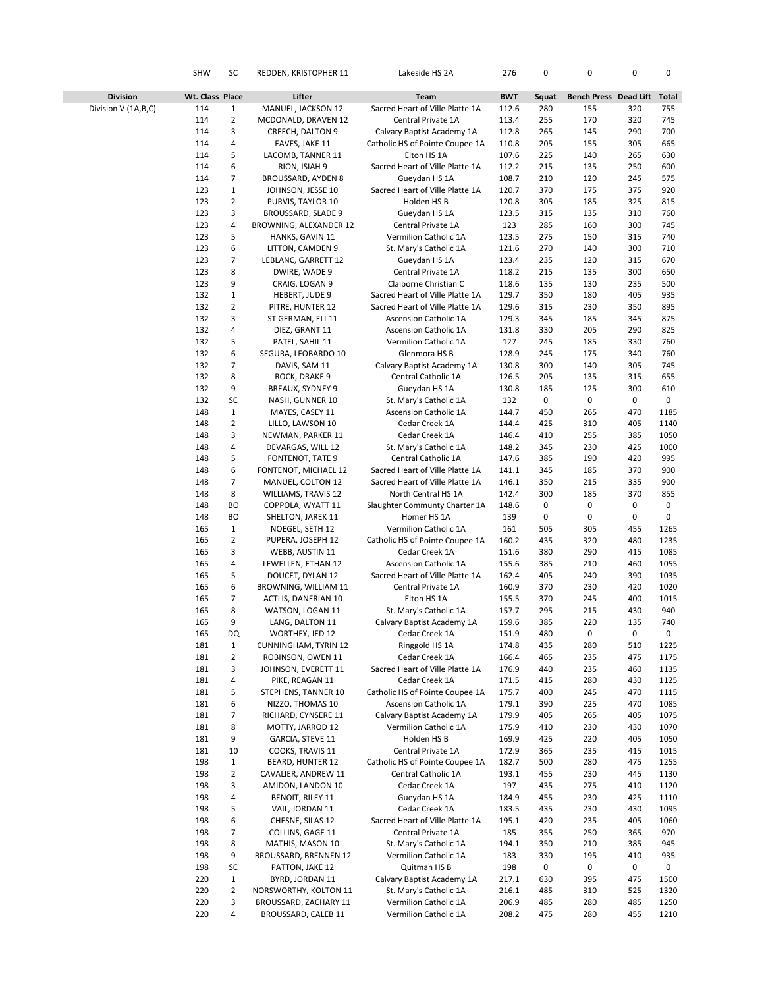|                       | <b>SHW</b>      | SC                             | REDDEN, KRISTOPHER 11                    | Lakeside HS 2A                                       | 276            | 0          | 0                     | 0          | 0            |
|-----------------------|-----------------|--------------------------------|------------------------------------------|------------------------------------------------------|----------------|------------|-----------------------|------------|--------------|
| <b>Division</b>       | Wt. Class Place |                                | Lifter                                   | Team                                                 | <b>BWT</b>     | Squat      | Bench Press Dead Lift |            | Total        |
| Division V (1A, B, C) | 114             | 1                              | MANUEL, JACKSON 12                       | Sacred Heart of Ville Platte 1A                      | 112.6          | 280        | 155                   | 320        | 755          |
|                       | 114             | $\overline{2}$                 | MCDONALD, DRAVEN 12                      | Central Private 1A                                   | 113.4          | 255        | 170                   | 320        | 745          |
|                       | 114             | 3                              | CREECH, DALTON 9                         | Calvary Baptist Academy 1A                           | 112.8          | 265        | 145                   | 290        | 700          |
|                       | 114             | 4                              | EAVES, JAKE 11                           | Catholic HS of Pointe Coupee 1A                      | 110.8          | 205        | 155                   | 305        | 665          |
|                       | 114             | 5                              | LACOMB, TANNER 11                        | Elton HS 1A                                          | 107.6          | 225        | 140                   | 265        | 630          |
|                       | 114             | 6                              | RION, ISIAH 9                            | Sacred Heart of Ville Platte 1A                      | 112.2          | 215        | 135                   | 250        | 600          |
|                       | 114             | 7                              | BROUSSARD, AYDEN 8                       | Gueydan HS 1A                                        | 108.7          | 210        | 120                   | 245        | 575          |
|                       | 123<br>123      | $\mathbf{1}$<br>$\overline{2}$ | JOHNSON, JESSE 10<br>PURVIS, TAYLOR 10   | Sacred Heart of Ville Platte 1A                      | 120.7          | 370<br>305 | 175                   | 375<br>325 | 920          |
|                       | 123             | 3                              | BROUSSARD, SLADE 9                       | Holden HS B<br>Gueydan HS 1A                         | 120.8<br>123.5 | 315        | 185<br>135            | 310        | 815<br>760   |
|                       | 123             | 4                              | BROWNING, ALEXANDER 12                   | Central Private 1A                                   | 123            | 285        | 160                   | 300        | 745          |
|                       | 123             | 5                              | HANKS, GAVIN 11                          | Vermilion Catholic 1A                                | 123.5          | 275        | 150                   | 315        | 740          |
|                       | 123             | 6                              | LITTON, CAMDEN 9                         | St. Mary's Catholic 1A                               | 121.6          | 270        | 140                   | 300        | 710          |
|                       | 123             | 7                              | LEBLANC, GARRETT 12                      | Gueydan HS 1A                                        | 123.4          | 235        | 120                   | 315        | 670          |
|                       | 123             | 8                              | DWIRE, WADE 9                            | Central Private 1A                                   | 118.2          | 215        | 135                   | 300        | 650          |
|                       | 123             | 9                              | CRAIG, LOGAN 9                           | Claiborne Christian C                                | 118.6          | 135        | 130                   | 235        | 500          |
|                       | 132             | $\mathbf{1}$                   | HEBERT, JUDE 9                           | Sacred Heart of Ville Platte 1A                      | 129.7          | 350        | 180                   | 405        | 935          |
|                       | 132             | 2                              | PITRE, HUNTER 12                         | Sacred Heart of Ville Platte 1A                      | 129.6          | 315        | 230                   | 350        | 895          |
|                       | 132             | 3                              | ST GERMAN, ELI 11                        | <b>Ascension Catholic 1A</b>                         | 129.3          | 345        | 185                   | 345        | 875          |
|                       | 132             | 4                              | DIEZ, GRANT 11                           | <b>Ascension Catholic 1A</b>                         | 131.8          | 330        | 205                   | 290        | 825          |
|                       | 132             | 5                              | PATEL, SAHIL 11                          | Vermilion Catholic 1A                                | 127            | 245        | 185                   | 330        | 760          |
|                       | 132<br>132      | 6<br>7                         | SEGURA, LEOBARDO 10                      | Glenmora HS B                                        | 128.9          | 245<br>300 | 175<br>140            | 340<br>305 | 760<br>745   |
|                       | 132             | 8                              | DAVIS, SAM 11<br>ROCK, DRAKE 9           | Calvary Baptist Academy 1A<br>Central Catholic 1A    | 130.8<br>126.5 | 205        | 135                   | 315        | 655          |
|                       | 132             | 9                              | BREAUX, SYDNEY 9                         | Gueydan HS 1A                                        | 130.8          | 185        | 125                   | 300        | 610          |
|                       | 132             | SC                             | NASH, GUNNER 10                          | St. Mary's Catholic 1A                               | 132            | 0          | 0                     | 0          | 0            |
|                       | 148             | $\mathbf{1}$                   | MAYES, CASEY 11                          | <b>Ascension Catholic 1A</b>                         | 144.7          | 450        | 265                   | 470        | 1185         |
|                       | 148             | $\overline{2}$                 | LILLO, LAWSON 10                         | Cedar Creek 1A                                       | 144.4          | 425        | 310                   | 405        | 1140         |
|                       | 148             | 3                              | NEWMAN, PARKER 11                        | Cedar Creek 1A                                       | 146.4          | 410        | 255                   | 385        | 1050         |
|                       | 148             | 4                              | DEVARGAS, WILL 12                        | St. Mary's Catholic 1A                               | 148.2          | 345        | 230                   | 425        | 1000         |
|                       | 148             | 5                              | <b>FONTENOT, TATE 9</b>                  | Central Catholic 1A                                  | 147.6          | 385        | 190                   | 420        | 995          |
|                       | 148             | 6                              | FONTENOT, MICHAEL 12                     | Sacred Heart of Ville Platte 1A                      | 141.1          | 345        | 185                   | 370        | 900          |
|                       | 148             | $\overline{7}$                 | MANUEL, COLTON 12                        | Sacred Heart of Ville Platte 1A                      | 146.1          | 350        | 215                   | 335        | 900          |
|                       | 148<br>148      | 8<br><b>BO</b>                 | <b>WILLIAMS, TRAVIS 12</b>               | North Central HS 1A<br>Slaughter Communty Charter 1A | 142.4<br>148.6 | 300<br>0   | 185<br>0              | 370<br>0   | 855<br>0     |
|                       | 148             | BO                             | COPPOLA, WYATT 11<br>SHELTON, JAREK 11   | Homer HS 1A                                          | 139            | 0          | 0                     | 0          | 0            |
|                       | 165             | $\mathbf{1}$                   | NOEGEL, SETH 12                          | Vermilion Catholic 1A                                | 161            | 505        | 305                   | 455        | 1265         |
|                       | 165             | $\overline{2}$                 | PUPERA, JOSEPH 12                        | Catholic HS of Pointe Coupee 1A                      | 160.2          | 435        | 320                   | 480        | 1235         |
|                       | 165             | 3                              | WEBB, AUSTIN 11                          | Cedar Creek 1A                                       | 151.6          | 380        | 290                   | 415        | 1085         |
|                       | 165             | 4                              | LEWELLEN, ETHAN 12                       | <b>Ascension Catholic 1A</b>                         | 155.6          | 385        | 210                   | 460        | 1055         |
|                       | 165             | 5                              | DOUCET, DYLAN 12                         | Sacred Heart of Ville Platte 1A                      | 162.4          | 405        | 240                   | 390        | 1035         |
|                       | 165             | 6                              | BROWNING, WILLIAM 11                     | Central Private 1A                                   | 160.9          | 370        | 230                   | 420        | 1020         |
|                       | 165             | 7                              | ACTLIS, DANERIAN 10                      | Elton HS 1A                                          | 155.5          | 370        | 245                   | 400        | 1015         |
|                       | 165             | 8<br>9                         | WATSON, LOGAN 11                         | St. Mary's Catholic 1A                               | 157.7          | 295        | 215                   | 430        | 940          |
|                       | 165<br>165      | DQ                             | LANG, DALTON 11<br>WORTHEY, JED 12       | Calvary Baptist Academy 1A<br>Cedar Creek 1A         | 159.6<br>151.9 | 385<br>480 | 220<br>0              | 135<br>0   | 740<br>0     |
|                       | 181             | $\mathbf{1}$                   | <b>CUNNINGHAM, TYRIN 12</b>              | Ringgold HS 1A                                       | 174.8          | 435        | 280                   | 510        | 1225         |
|                       | 181             | 2                              | ROBINSON, OWEN 11                        | Cedar Creek 1A                                       | 166.4          | 465        | 235                   | 475        | 1175         |
|                       | 181             | 3                              | JOHNSON, EVERETT 11                      | Sacred Heart of Ville Platte 1A                      | 176.9          | 440        | 235                   | 460        | 1135         |
|                       | 181             | 4                              | PIKE, REAGAN 11                          | Cedar Creek 1A                                       | 171.5          | 415        | 280                   | 430        | 1125         |
|                       | 181             | 5                              | STEPHENS, TANNER 10                      | Catholic HS of Pointe Coupee 1A                      | 175.7          | 400        | 245                   | 470        | 1115         |
|                       | 181             | 6                              | NIZZO, THOMAS 10                         | <b>Ascension Catholic 1A</b>                         | 179.1          | 390        | 225                   | 470        | 1085         |
|                       | 181             | 7                              | RICHARD, CYNSERE 11                      | Calvary Baptist Academy 1A                           | 179.9          | 405        | 265                   | 405        | 1075         |
|                       | 181             | 8                              | MOTTY, JARROD 12                         | Vermilion Catholic 1A                                | 175.9          | 410        | 230                   | 430        | 1070         |
|                       | 181<br>181      | 9<br>10                        | GARCIA, STEVE 11<br>COOKS, TRAVIS 11     | Holden HS B<br>Central Private 1A                    | 169.9<br>172.9 | 425<br>365 | 220<br>235            | 405<br>415 | 1050<br>1015 |
|                       | 198             | 1                              | BEARD, HUNTER 12                         | Catholic HS of Pointe Coupee 1A                      | 182.7          | 500        | 280                   | 475        | 1255         |
|                       | 198             | 2                              | CAVALIER, ANDREW 11                      | Central Catholic 1A                                  | 193.1          | 455        | 230                   | 445        | 1130         |
|                       | 198             | 3                              | AMIDON, LANDON 10                        | Cedar Creek 1A                                       | 197            | 435        | 275                   | 410        | 1120         |
|                       | 198             | 4                              | BENOIT, RILEY 11                         | Gueydan HS 1A                                        | 184.9          | 455        | 230                   | 425        | 1110         |
|                       | 198             | 5                              | VAIL, JORDAN 11                          | Cedar Creek 1A                                       | 183.5          | 435        | 230                   | 430        | 1095         |
|                       | 198             | 6                              | CHESNE, SILAS 12                         | Sacred Heart of Ville Platte 1A                      | 195.1          | 420        | 235                   | 405        | 1060         |
|                       | 198             | 7                              | COLLINS, GAGE 11                         | Central Private 1A                                   | 185            | 355        | 250                   | 365        | 970          |
|                       | 198             | 8                              | MATHIS, MASON 10                         | St. Mary's Catholic 1A                               | 194.1          | 350        | 210                   | 385        | 945          |
|                       | 198<br>198      | 9<br>SC                        | BROUSSARD, BRENNEN 12<br>PATTON, JAKE 12 | Vermilion Catholic 1A<br>Quitman HS B                | 183<br>198     | 330<br>0   | 195<br>0              | 410<br>0   | 935<br>0     |
|                       | 220             | $\mathbf{1}$                   | BYRD, JORDAN 11                          | Calvary Baptist Academy 1A                           | 217.1          | 630        | 395                   | 475        | 1500         |
|                       | 220             | $\overline{2}$                 | NORSWORTHY, KOLTON 11                    | St. Mary's Catholic 1A                               | 216.1          | 485        | 310                   | 525        | 1320         |
|                       | 220             | 3                              | BROUSSARD, ZACHARY 11                    | Vermilion Catholic 1A                                | 206.9          | 485        | 280                   | 485        | 1250         |
|                       | 220             | 4                              | BROUSSARD, CALEB 11                      | Vermilion Catholic 1A                                | 208.2          | 475        | 280                   | 455        | 1210         |